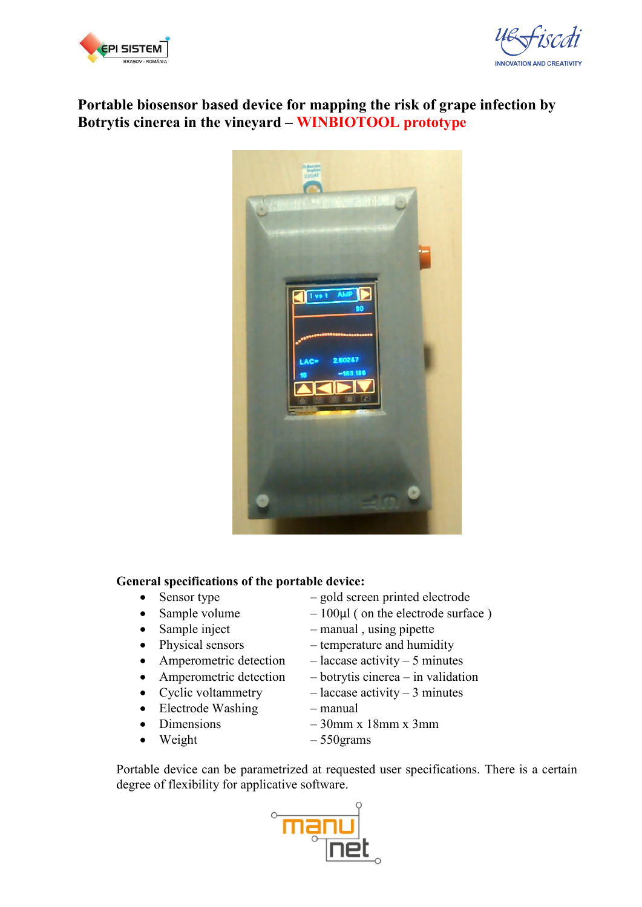



## **Portable biosensor based device for mapping the risk of grape infection by Botrytis cinerea in the vineyard – WINBIOTOOL prototype**



## **General specifications of the portable device:**

- 
- 
- 
- 
- 
- 
- 
- Electrode Washing manual
- 
- Weight  $-550$ grams
- Sensor type gold screen printed electrode
- Sample volume  $-100\mu l$  ( on the electrode surface )
- Sample inject manual, using pipette
- Physical sensors temperature and humidity
- Amperometric detection laccase activity 5 minutes
	- Amperometric detection botrytis cinerea in validation
- Cyclic voltammetry  $-$  laccase activity 3 minutes
	-
- Dimensions  $-30$ mm x  $18$ mm x  $3$ mm
	-

Portable device can be parametrized at requested user specifications. There is a certain degree of flexibility for applicative software.

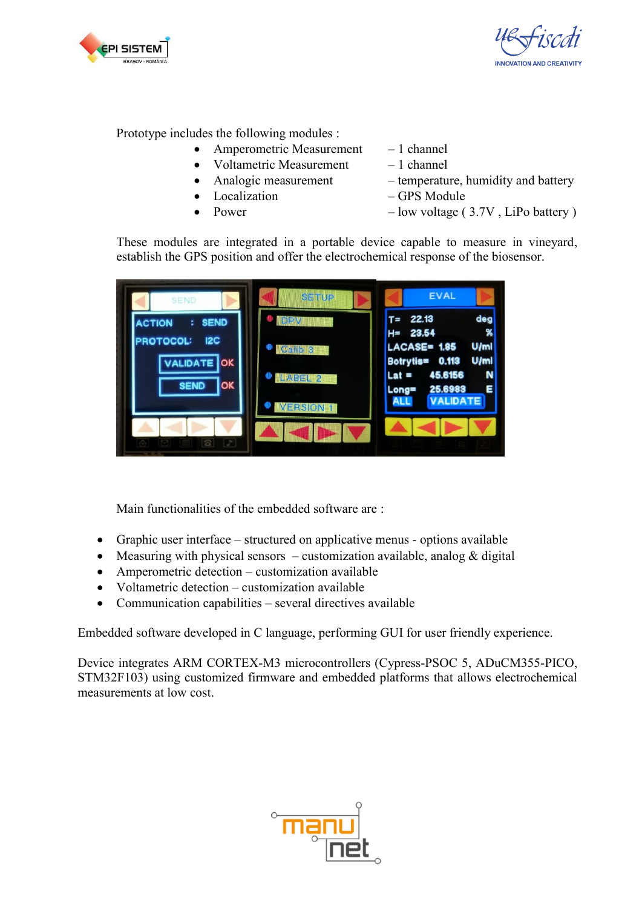



Prototype includes the following modules :

- Amperometric Measurement 1 channel
	- Voltametric Measurement  $-1$  channel
- 
- Localization GPS Module
- 
- 
- 
- Analogic measurement temperature, humidity and battery
	-
	- Power low voltage (3.7V, LiPo battery)

These modules are integrated in a portable device capable to measure in vineyard, establish the GPS position and offer the electrochemical response of the biosensor.



Main functionalities of the embedded software are :

- Graphic user interface structured on applicative menus options available
- Measuring with physical sensors customization available, analog  $&$  digital
- Amperometric detection customization available
- Voltametric detection customization available
- Communication capabilities several directives available

Embedded software developed in C language, performing GUI for user friendly experience.

Device integrates ARM CORTEX-M3 microcontrollers (Cypress-PSOC 5, ADuCM355-PICO, STM32F103) using customized firmware and embedded platforms that allows electrochemical measurements at low cost.